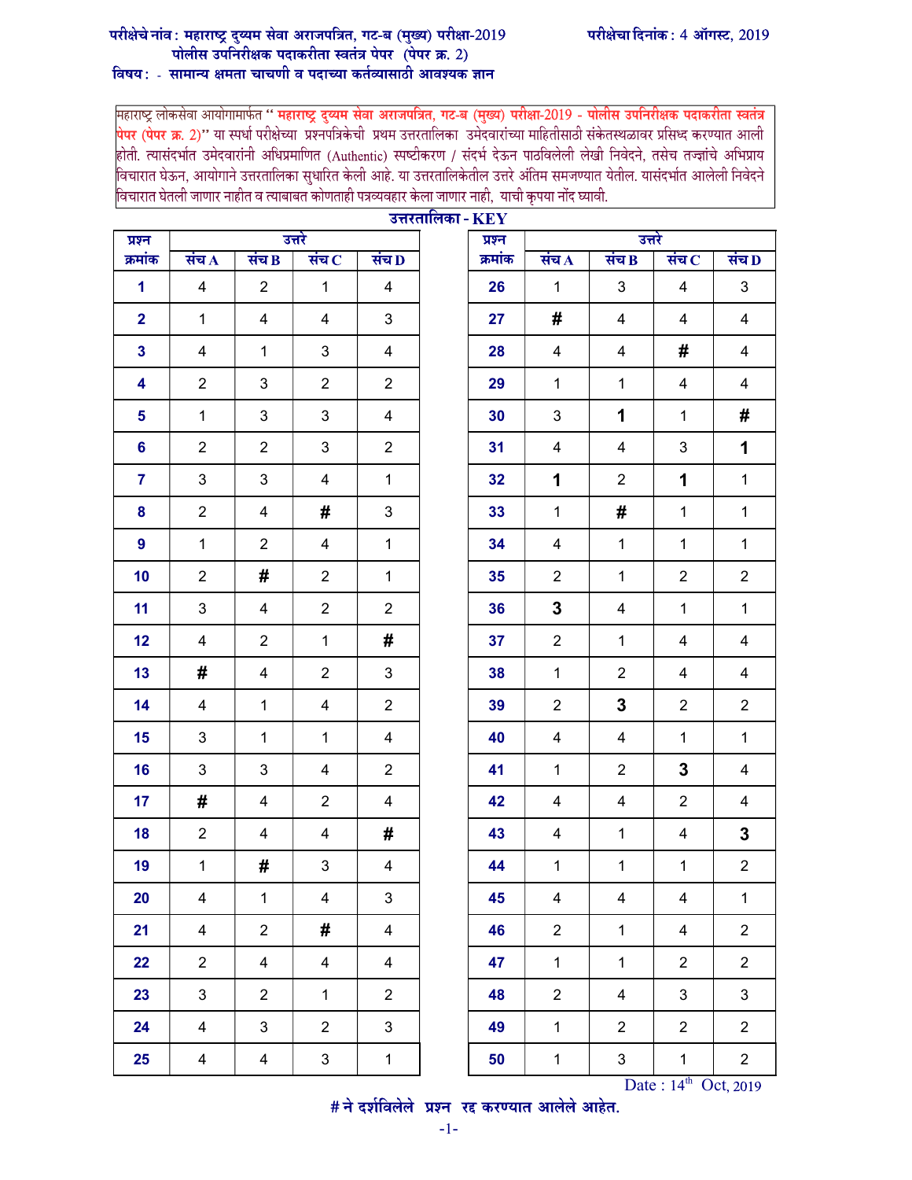## परीक्षेचा दिनांक: 4 ऑगस्ट, 2019

## परीक्षेचे नांव : महाराष्ट्र दुय्यम सेवा अराजपत्रित, गट-ब (मुख्य) परीक्षा-2019<br>पोलीस उपनिरीक्षक पदाकरीता स्वतंत्र पेपर (पेपर क्र. 2)

## विषय: - सामान्य क्षमता चाचणी व पदाच्या कर्तव्यासाठी आवश्यक ज्ञान

महाराष्ट्र लोकसेवा आयोगामार्फत " महाराष्ट्र दुय्यम सेवा अराजपत्रित, गट-ब (मुख्य) परीक्षा-2019 - पोलीस उपनिरीक्षक पदाकरीता स्वतंत्र <mark>पेपर (पेपर क्र. 2)''</mark> या स्पर्धा परीक्षेच्या प्रश्नपत्रिकेची प्रथम उत्तरतालिका उमेदवारांच्या माहितीसाठी संकेतस्थळावर प्रसिध्द करण्यात आली<br>होती. त्यासंदर्भात उमेदवारांनी अधिप्रमाणित (Authentic) स्पष्टीकरण / संदर्भ देऊन विचारात घेऊन, आयोगाने उत्तरतालिका सुधारित केली आहे. या उत्तरतालिकेतील उत्तरे अंतिम समजण्यात येतील. यासंदर्भात आलेली निवेदने विचारात घेतली जाणार नाहीत व त्याबाबत कोणताही पत्रव्यवहार केला जाणार नाही, याची कृपया नोंद घ्यावी.

| प्रश्न         |                    |                | उत्तरे                      |                         | $\sigma$ <i>avalleise - IVE I</i> | प्रश्न  | उत्तरे             |                         |                             |                         |
|----------------|--------------------|----------------|-----------------------------|-------------------------|-----------------------------------|---------|--------------------|-------------------------|-----------------------------|-------------------------|
| क्रमांक        | संच $\overline{A}$ | संच $B$        | संच $\overline{\mathbf{C}}$ | संच $D$                 |                                   | क्रमांक | संच $\overline{A}$ | संच $B$                 | संच $\overline{\mathbf{C}}$ | संच $D$                 |
| $\mathbf{1}$   | $\overline{4}$     | $\overline{2}$ | $\mathbf{1}$                | $\overline{4}$          |                                   | 26      | $\mathbf{1}$       | $\mathbf{3}$            | $\overline{4}$              | $\mathbf{3}$            |
| $\overline{2}$ | $\mathbf{1}$       | $\overline{4}$ | $\overline{4}$              | $3\phantom{.0}$         |                                   | 27      | #                  | $\overline{4}$          | $\overline{4}$              | $\overline{4}$          |
| $\mathbf{3}$   | 4                  | $\mathbf{1}$   | $\mathbf{3}$                | 4                       |                                   | 28      | 4                  | $\overline{4}$          | #                           | $\overline{4}$          |
| 4              | $\overline{2}$     | 3              | $\overline{2}$              | $\overline{2}$          |                                   | 29      | $\mathbf{1}$       | $\mathbf{1}$            | $\overline{4}$              | $\overline{\mathbf{4}}$ |
| 5              | $\mathbf{1}$       | 3              | $\mathbf{3}$                | $\overline{\mathbf{4}}$ |                                   | 30      | 3                  | $\mathbf 1$             | $\mathbf{1}$                | #                       |
| 6              | $\overline{2}$     | $\overline{2}$ | $\mathfrak{S}$              | $\overline{2}$          |                                   | 31      | 4                  | $\overline{4}$          | $\ensuremath{\mathsf{3}}$   | $\mathbf 1$             |
| $\overline{7}$ | 3                  | 3              | $\overline{4}$              | $\mathbf{1}$            |                                   | 32      | 1                  | $\overline{2}$          | 1                           | $\mathbf{1}$            |
| 8              | $\overline{2}$     | $\overline{4}$ | #                           | $\mathbf{3}$            |                                   | 33      | $\mathbf{1}$       | #                       | $\mathbf{1}$                | $\mathbf{1}$            |
| $\overline{9}$ | $\mathbf{1}$       | $\overline{2}$ | $\overline{4}$              | $\mathbf{1}$            |                                   | 34      | $\overline{4}$     | $\mathbf{1}$            | $\mathbf{1}$                | $\mathbf{1}$            |
| 10             | $\overline{2}$     | #              | $\overline{2}$              | $\mathbf{1}$            |                                   | 35      | $\overline{2}$     | $\mathbf{1}$            | $\overline{2}$              | $\overline{2}$          |
| 11             | 3                  | $\overline{4}$ | $\overline{2}$              | $\overline{2}$          |                                   | 36      | $\mathbf 3$        | $\overline{4}$          | $\mathbf{1}$                | $\mathbf 1$             |
| 12             | 4                  | $2^{\circ}$    | $\mathbf{1}$                | #                       |                                   | 37      | $\overline{2}$     | $\mathbf{1}$            | 4                           | 4                       |
| 13             | #                  | 4              | $\overline{2}$              | $\mathbf{3}$            |                                   | 38      | $\mathbf{1}$       | $\overline{2}$          | 4                           | $\overline{4}$          |
| 14             | 4                  | $\mathbf{1}$   | 4                           | $\overline{2}$          |                                   | 39      | $\overline{2}$     | $\mathbf 3$             | $\overline{2}$              | $\overline{2}$          |
| 15             | 3                  | $\mathbf{1}$   | $\mathbf{1}$                | $\overline{4}$          |                                   | 40      | $\overline{4}$     | $\overline{4}$          | $\mathbf{1}$                | $\mathbf{1}$            |
| 16             | 3                  | $\mathbf{3}$   | $\overline{\mathbf{4}}$     | $\overline{2}$          |                                   | 41      | $\mathbf{1}$       | $\overline{2}$          | 3                           | $\overline{\mathbf{4}}$ |
| 17             | #                  | $\overline{4}$ | $\overline{2}$              | 4                       |                                   | 42      | 4                  | $\overline{4}$          | $\overline{2}$              | 4                       |
| 18             | $\overline{2}$     | 4              | 4                           | #                       |                                   | 43      | 4                  | $\mathbf{1}$            | 4                           | $\mathbf 3$             |
| 19             | $\mathbf{1}$       | #              | 3                           | 4                       |                                   | 44      | $\mathbf{1}$       | $\mathbf{1}$            | $\mathbf{1}$                | $\overline{2}$          |
| 20             | 4                  | $\mathbf 1$    | $\overline{4}$              | 3                       |                                   | 45      | 4                  | $\overline{\mathbf{4}}$ | $\overline{\mathbf{4}}$     | $\mathbf 1$             |
| 21             | 4                  | $\overline{2}$ | #                           | 4                       |                                   | 46      | $\overline{2}$     | $\mathbf{1}$            | $\overline{4}$              | $\overline{2}$          |
| 22             | $\overline{2}$     | 4              | $\overline{4}$              | $\overline{4}$          |                                   | 47      | $\mathbf{1}$       | $\mathbf{1}$            | $\overline{2}$              | $\overline{2}$          |
| 23             | 3                  | $\overline{2}$ | $\mathbf 1$                 | $\overline{2}$          |                                   | 48      | $\overline{2}$     | $\overline{\mathbf{4}}$ | 3                           | 3                       |
| 24             | 4                  | 3              | $\overline{2}$              | 3                       |                                   | 49      | $\mathbf{1}$       | $\overline{2}$          | $\overline{2}$              | $\overline{2}$          |
| 25             | 4                  | 4              | $\ensuremath{\mathsf{3}}$   | $\mathbf{1}$            |                                   | 50      | $\mathbf{1}$       | 3                       | $\mathbf{1}$                | $\overline{2}$          |

|                | उत्तरतालिका - $\mathbf{KEY}$<br>उत्तरे<br>प्रश्न |         |                         |                         |                             |                         |  |  |  |
|----------------|--------------------------------------------------|---------|-------------------------|-------------------------|-----------------------------|-------------------------|--|--|--|
| 4D             |                                                  | क्रमांक | संच $\bf{A}$            | संच B                   | संच $\overline{\mathbf{C}}$ | संच $\bf D$             |  |  |  |
| 4              |                                                  | 26      | $\mathbf{1}$            | 3                       | $\overline{\mathbf{4}}$     | 3                       |  |  |  |
| 3              |                                                  | 27      | #                       | $\overline{\mathbf{4}}$ | 4                           | $\overline{\mathbf{4}}$ |  |  |  |
| 4              |                                                  | 28      | $\overline{\mathbf{4}}$ | $\overline{\mathbf{4}}$ | #                           | $\overline{\mathbf{4}}$ |  |  |  |
| $\overline{c}$ |                                                  | 29      | $\mathbf{1}$            | $\mathbf 1$             | 4                           | $\overline{\mathbf{4}}$ |  |  |  |
| 4              |                                                  | 30      | 3                       | 1                       | $\mathbf 1$                 | #                       |  |  |  |
| $\overline{2}$ |                                                  | 31      | $\overline{\mathbf{4}}$ | $\overline{\mathbf{4}}$ | $\ensuremath{\mathsf{3}}$   | 1                       |  |  |  |
| 1              |                                                  | 32      | 1                       | $\overline{c}$          | 1                           | $\mathbf{1}$            |  |  |  |
| 3              |                                                  | 33      | $\mathbf{1}$            | #                       | $\mathbf 1$                 | $\mathbf 1$             |  |  |  |
| 1              |                                                  | 34      | $\overline{\mathbf{4}}$ | $\mathbf 1$             | $\mathbf 1$                 | $\mathbf 1$             |  |  |  |
| 1              |                                                  | 35      | $\boldsymbol{2}$        | $\mathbf 1$             | $\boldsymbol{2}$            | $\overline{c}$          |  |  |  |
| $\overline{2}$ |                                                  | 36      | 3                       | $\overline{\mathbf{4}}$ | $\mathbf{1}$                | $\mathbf 1$             |  |  |  |
| #              |                                                  | 37      | $\boldsymbol{2}$        | $\mathbf{1}$            | 4                           | $\overline{\mathbf{4}}$ |  |  |  |
| 3              |                                                  | 38      | $\mathbf{1}$            | $\overline{c}$          | 4                           | $\overline{\mathbf{4}}$ |  |  |  |
| $\overline{c}$ |                                                  | 39      | $\boldsymbol{2}$        | 3                       | $\boldsymbol{2}$            | $\overline{\mathbf{c}}$ |  |  |  |
| 4              |                                                  | 40      | $\overline{\mathbf{4}}$ | $\overline{\mathbf{4}}$ | $\mathbf 1$                 | $\mathbf 1$             |  |  |  |
| $\overline{2}$ |                                                  | 41      | $\mathbf{1}$            | $\mathbf{2}$            | 3                           | $\overline{\mathbf{4}}$ |  |  |  |
| 4              |                                                  | 42      | $\overline{\mathbf{4}}$ | 4                       | $\overline{\mathbf{c}}$     | 4                       |  |  |  |
| #              |                                                  | 43      | $\overline{\mathbf{4}}$ | $\mathbf{1}$            | $\overline{\mathbf{4}}$     | $\mathbf 3$             |  |  |  |
| 4              |                                                  | 44      | $\mathbf 1$             | $\mathbf 1$             | 1                           | $\boldsymbol{2}$        |  |  |  |
| 3              |                                                  | 45      | $\overline{\mathbf{4}}$ | 4                       | $\overline{\mathbf{4}}$     | $\mathbf 1$             |  |  |  |
| 4              |                                                  | 46      | $\boldsymbol{2}$        | $\mathbf 1$             | $\overline{\mathbf{4}}$     | $\overline{\mathbf{c}}$ |  |  |  |
| 4              |                                                  | 47      | $\mathbf{1}$            | $\mathbf 1$             | $\boldsymbol{2}$            | $\overline{\mathbf{c}}$ |  |  |  |
| 2              |                                                  | 48      | $\boldsymbol{2}$        | 4                       | 3                           | 3                       |  |  |  |
| 3              |                                                  | 49      | 1                       | $\overline{c}$          | $\boldsymbol{2}$            | 2                       |  |  |  |
| 1              |                                                  | 50      | $\mathbf 1$             | 3                       | 1                           | $\overline{\mathbf{c}}$ |  |  |  |

Date:  $14^{\text{th}}$  Oct, 2019<br>  $\#$  ने दर्शविलेले प्रश्न रद्द करण्यात आलेले आहेत.